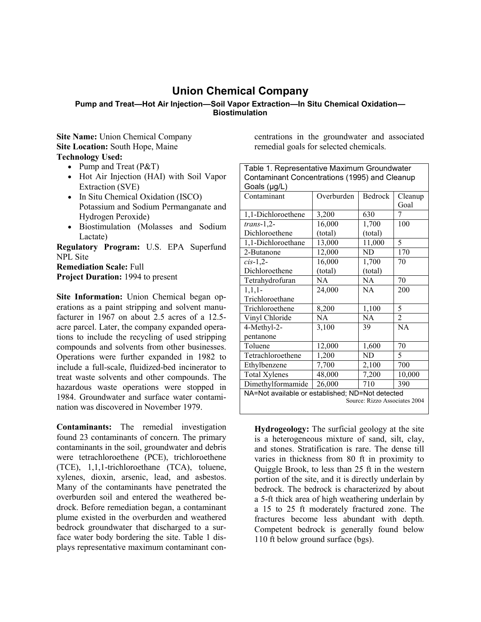## **Union Chemical Company**

## **Pump and Treat—Hot Air Injection—Soil Vapor Extraction—In Situ Chemical Oxidation— Biostimulation**

**Site Name:** Union Chemical Company **Site Location:** South Hope, Maine **Technology Used:** 

- Pump and Treat (P&T)
- Hot Air Injection (HAI) with Soil Vapor Extraction (SVE)
- In Situ Chemical Oxidation (ISCO) Potassium and Sodium Permanganate and Hydrogen Peroxide)
- Biostimulation (Molasses and Sodium Lactate)

**Regulatory Program:** U.S. EPA Superfund NPL Site

**Remediation Scale:** Full **Project Duration:** 1994 to present

**Site Information:** Union Chemical began operations as a paint stripping and solvent manufacturer in 1967 on about 2.5 acres of a 12.5 acre parcel. Later, the company expanded operations to include the recycling of used stripping compounds and solvents from other businesses. Operations were further expanded in 1982 to include a full-scale, fluidized-bed incinerator to treat waste solvents and other compounds. The hazardous waste operations were stopped in 1984. Groundwater and surface water contamination was discovered in November 1979.

**Contaminants:** The remedial investigation found 23 contaminants of concern. The primary contaminants in the soil, groundwater and debris were tetrachloroethene (PCE), trichloroethene (TCE), 1,1,1-trichloroethane (TCA), toluene, xylenes, dioxin, arsenic, lead, and asbestos. Many of the contaminants have penetrated the overburden soil and entered the weathered bedrock. Before remediation began, a contaminant plume existed in the overburden and weathered bedrock groundwater that discharged to a surface water body bordering the site. Table 1 displays representative maximum contaminant con-

centrations in the groundwater and associated remedial goals for selected chemicals.

| Table 1. Representative Maximum Groundwater      |            |           |                |  |  |  |  |  |
|--------------------------------------------------|------------|-----------|----------------|--|--|--|--|--|
| Contaminant Concentrations (1995) and Cleanup    |            |           |                |  |  |  |  |  |
| Goals (µg/L)                                     |            |           |                |  |  |  |  |  |
| Contaminant                                      | Overburden | Bedrock   | Cleanup        |  |  |  |  |  |
|                                                  |            |           | Goal           |  |  |  |  |  |
| 1,1-Dichloroethene                               | 3,200      | 630       | 7              |  |  |  |  |  |
| $trans-1,2-$                                     | 16,000     | 1,700     | 100            |  |  |  |  |  |
| Dichloroethene                                   | (total)    | (total)   |                |  |  |  |  |  |
| 1,1-Dichloroethane                               | 13,000     | 11,000    | 5              |  |  |  |  |  |
| 2-Butanone                                       | 12,000     | <b>ND</b> | 170            |  |  |  |  |  |
| $cis-1,2$ -                                      | 16,000     | 1,700     | 70             |  |  |  |  |  |
| Dichloroethene                                   | (total)    | (total)   |                |  |  |  |  |  |
| Tetrahydrofuran                                  | NA         | <b>NA</b> | 70             |  |  |  |  |  |
| $1,1,1-$                                         | 24,000     | NA.       | 200            |  |  |  |  |  |
| Trichloroethane                                  |            |           |                |  |  |  |  |  |
| Trichloroethene                                  | 8,200      | 1,100     | 5              |  |  |  |  |  |
| Vinyl Chloride                                   | <b>NA</b>  | NA        | $\overline{2}$ |  |  |  |  |  |
| 4-Methyl-2-                                      | 3,100      | 39        | NA             |  |  |  |  |  |
| pentanone                                        |            |           |                |  |  |  |  |  |
| Toluene                                          | 12,000     | 1,600     | 70             |  |  |  |  |  |
| Tetrachloroethene                                | 1,200      | ND        | 5              |  |  |  |  |  |
| Ethylbenzene                                     | 7,700      | 2,100     | 700            |  |  |  |  |  |
| <b>Total Xylenes</b>                             | 48,000     | 7,200     | 10,000         |  |  |  |  |  |
| Dimethylformamide                                | 26,000     | 710       | 390            |  |  |  |  |  |
| NA=Not available or established; ND=Not detected |            |           |                |  |  |  |  |  |
| Source: Rizzo Associates 2004                    |            |           |                |  |  |  |  |  |
|                                                  |            |           |                |  |  |  |  |  |

**Hydrogeology:** The surficial geology at the site is a heterogeneous mixture of sand, silt, clay, and stones. Stratification is rare. The dense till varies in thickness from 80 ft in proximity to Quiggle Brook, to less than 25 ft in the western portion of the site, and it is directly underlain by bedrock. The bedrock is characterized by about a 5-ft thick area of high weathering underlain by a 15 to 25 ft moderately fractured zone. The fractures become less abundant with depth. Competent bedrock is generally found below 110 ft below ground surface (bgs).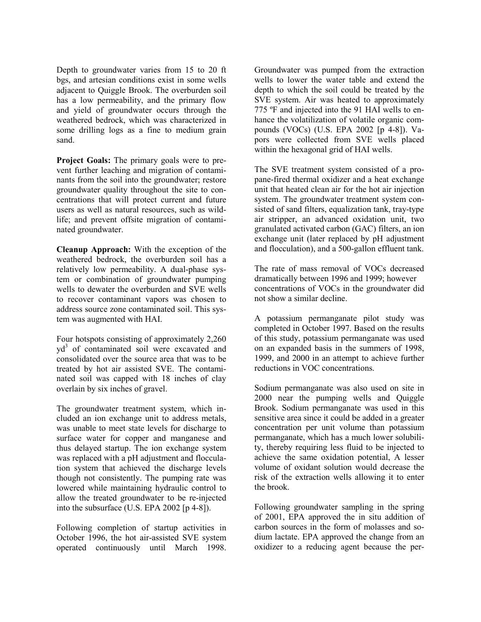Depth to groundwater varies from 15 to 20 ft bgs, and artesian conditions exist in some wells adjacent to Quiggle Brook. The overburden soil has a low permeability, and the primary flow and yield of groundwater occurs through the weathered bedrock, which was characterized in some drilling logs as a fine to medium grain sand.

**Project Goals:** The primary goals were to prevent further leaching and migration of contaminants from the soil into the groundwater; restore groundwater quality throughout the site to concentrations that will protect current and future users as well as natural resources, such as wildlife; and prevent offsite migration of contaminated groundwater.

**Cleanup Approach:** With the exception of the weathered bedrock, the overburden soil has a relatively low permeability. A dual-phase system or combination of groundwater pumping wells to dewater the overburden and SVE wells to recover contaminant vapors was chosen to address source zone contaminated soil. This system was augmented with HAI.

Four hotspots consisting of approximately 2,260 yd3 of contaminated soil were excavated and consolidated over the source area that was to be treated by hot air assisted SVE. The contaminated soil was capped with 18 inches of clay overlain by six inches of gravel.

The groundwater treatment system, which included an ion exchange unit to address metals, was unable to meet state levels for discharge to surface water for copper and manganese and thus delayed startup. The ion exchange system was replaced with a pH adjustment and flocculation system that achieved the discharge levels though not consistently. The pumping rate was lowered while maintaining hydraulic control to allow the treated groundwater to be re-injected into the subsurface (U.S. EPA 2002 [p 4-8]).

Following completion of startup activities in October 1996, the hot air-assisted SVE system operated continuously until March 1998.

Groundwater was pumped from the extraction wells to lower the water table and extend the depth to which the soil could be treated by the SVE system. Air was heated to approximately 775 ºF and injected into the 91 HAI wells to enhance the volatilization of volatile organic compounds (VOCs) (U.S. EPA 2002 [p 4-8]). Vapors were collected from SVE wells placed within the hexagonal grid of HAI wells.

The SVE treatment system consisted of a propane-fired thermal oxidizer and a heat exchange unit that heated clean air for the hot air injection system. The groundwater treatment system consisted of sand filters, equalization tank, tray-type air stripper, an advanced oxidation unit, two granulated activated carbon (GAC) filters, an ion exchange unit (later replaced by pH adjustment and flocculation), and a 500-gallon effluent tank.

The rate of mass removal of VOCs decreased dramatically between 1996 and 1999; however concentrations of VOCs in the groundwater did not show a similar decline.

A potassium permanganate pilot study was completed in October 1997. Based on the results of this study, potassium permanganate was used on an expanded basis in the summers of 1998, 1999, and 2000 in an attempt to achieve further reductions in VOC concentrations.

Sodium permanganate was also used on site in 2000 near the pumping wells and Quiggle Brook. Sodium permanganate was used in this sensitive area since it could be added in a greater concentration per unit volume than potassium permanganate, which has a much lower solubility, thereby requiring less fluid to be injected to achieve the same oxidation potential, A lesser volume of oxidant solution would decrease the risk of the extraction wells allowing it to enter the brook.

Following groundwater sampling in the spring of 2001, EPA approved the in situ addition of carbon sources in the form of molasses and sodium lactate. EPA approved the change from an oxidizer to a reducing agent because the per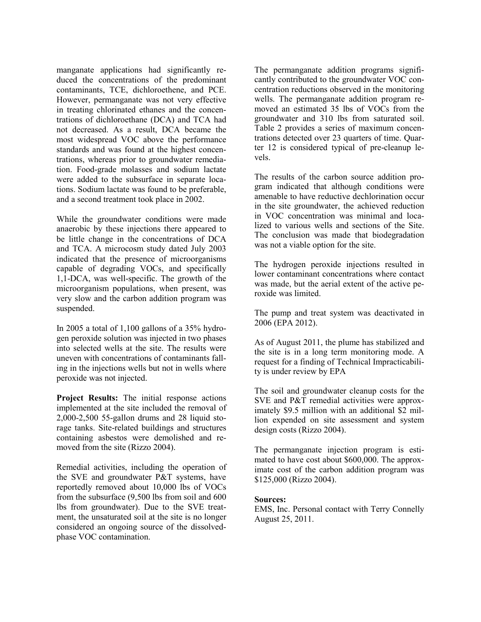manganate applications had significantly reduced the concentrations of the predominant contaminants, TCE, dichloroethene, and PCE. However, permanganate was not very effective in treating chlorinated ethanes and the concentrations of dichloroethane (DCA) and TCA had not decreased. As a result, DCA became the most widespread VOC above the performance standards and was found at the highest concentrations, whereas prior to groundwater remediation. Food-grade molasses and sodium lactate were added to the subsurface in separate locations. Sodium lactate was found to be preferable, and a second treatment took place in 2002.

While the groundwater conditions were made anaerobic by these injections there appeared to be little change in the concentrations of DCA and TCA. A microcosm study dated July 2003 indicated that the presence of microorganisms capable of degrading VOCs, and specifically 1,1-DCA, was well-specific. The growth of the microorganism populations, when present, was very slow and the carbon addition program was suspended.

In 2005 a total of 1,100 gallons of a 35% hydrogen peroxide solution was injected in two phases into selected wells at the site. The results were uneven with concentrations of contaminants falling in the injections wells but not in wells where peroxide was not injected.

**Project Results:** The initial response actions implemented at the site included the removal of 2,000-2,500 55-gallon drums and 28 liquid storage tanks. Site-related buildings and structures containing asbestos were demolished and removed from the site (Rizzo 2004).

Remedial activities, including the operation of the SVE and groundwater P&T systems, have reportedly removed about 10,000 lbs of VOCs from the subsurface (9,500 lbs from soil and 600 lbs from groundwater). Due to the SVE treatment, the unsaturated soil at the site is no longer considered an ongoing source of the dissolvedphase VOC contamination.

The permanganate addition programs significantly contributed to the groundwater VOC concentration reductions observed in the monitoring wells. The permanganate addition program removed an estimated 35 lbs of VOCs from the groundwater and 310 lbs from saturated soil. Table 2 provides a series of maximum concentrations detected over 23 quarters of time. Quarter 12 is considered typical of pre-cleanup levels.

The results of the carbon source addition program indicated that although conditions were amenable to have reductive dechlorination occur in the site groundwater, the achieved reduction in VOC concentration was minimal and localized to various wells and sections of the Site. The conclusion was made that biodegradation was not a viable option for the site.

The hydrogen peroxide injections resulted in lower contaminant concentrations where contact was made, but the aerial extent of the active peroxide was limited.

The pump and treat system was deactivated in 2006 (EPA 2012).

As of August 2011, the plume has stabilized and the site is in a long term monitoring mode. A request for a finding of Technical Impracticability is under review by EPA

The soil and groundwater cleanup costs for the SVE and P&T remedial activities were approximately \$9.5 million with an additional \$2 million expended on site assessment and system design costs (Rizzo 2004).

The permanganate injection program is estimated to have cost about \$600,000. The approximate cost of the carbon addition program was \$125,000 (Rizzo 2004).

## **Sources:**

EMS, Inc. Personal contact with Terry Connelly August 25, 2011.